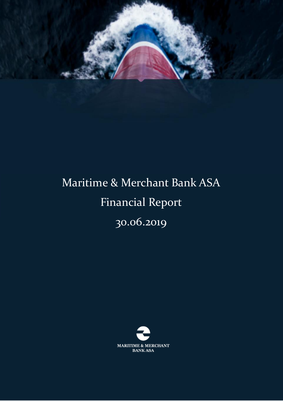

# Maritime & Merchant Bank ASA Financial Report 30.06.2019

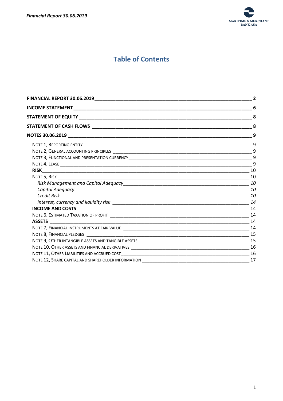

# **Table of Contents**

| <b>FINANCIAL REPORT 30.06.2019</b> |                |
|------------------------------------|----------------|
|                                    | 6              |
|                                    | 8              |
|                                    | 8              |
|                                    | 9              |
|                                    |                |
|                                    | $\mathbf{q}$   |
|                                    | $\overline{9}$ |
|                                    | 9              |
|                                    | 10             |
|                                    |                |
|                                    |                |
|                                    |                |
|                                    |                |
|                                    |                |
|                                    |                |
|                                    | 14             |
|                                    |                |
|                                    |                |
|                                    |                |
|                                    |                |
|                                    | 16             |
|                                    |                |
|                                    | 17             |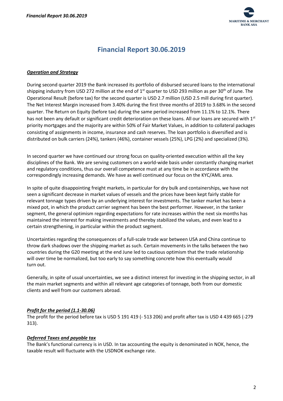

# **Financial Report 30.06.2019**

#### <span id="page-2-0"></span>*Operation and Strategy*

During second quarter 2019 the Bank increased its portfolio of disbursed secured loans to the international shipping industry from USD 272 million at the end of  $1<sup>st</sup>$  quarter to USD 293 million as per 30<sup>th</sup> of June. The Operational Result (before tax) for the second quarter is USD 2.7 million (USD 2.5 mill during first quarter). The Net Interest Margin increased from 3.40% during the first three months of 2019 to 3.68% in the second quarter. The Return on Equity (before tax) during the same period increased from 11.1% to 12.1%. There has not been any default or significant credit deterioration on these loans. All our loans are secured with 1st priority mortgages and the majority are within 50% of Fair Market Values, in addition to collateral packages consisting of assignments in income, insurance and cash reserves. The loan portfolio is diversified and is distributed on bulk carriers (24%), tankers (46%), container vessels (25%), LPG (2%) and specialized (3%).

In second quarter we have continued our strong focus on quality-oriented execution within all the key disciplines of the Bank. We are serving customers on a world-wide basis under constantly changing market and regulatory conditions, thus our overall competence must at any time be in accordance with the correspondingly increasing demands. We have as well continued our focus on the KYC/AML area.

In spite of quite disappointing freight markets, in particular for dry bulk and containerships, we have not seen a significant decrease in market values of vessels and the prices have been kept fairly stable for relevant tonnage types driven by an underlying interest for investments. The tanker market has been a mixed pot, in which the product carrier segment has been the best performer. However, in the tanker segment, the general optimism regarding expectations for rate increases within the next six months has maintained the interest for making investments and thereby stabilized the values, and even lead to a certain strengthening, in particular within the product segment.

Uncertainties regarding the consequences of a full-scale trade war between USA and China continue to throw dark shadows over the shipping market as such. Certain movements in the talks between the two countries during the G20 meeting at the end June led to cautious optimism that the trade relationship will over time be normalized, but too early to say something concrete how this eventually would turn out.

Generally, in spite of usual uncertainties, we see a distinct interest for investing in the shipping sector, in all the main market segments and within all relevant age categories of tonnage, both from our domestic clients and well from our customers abroad.

#### *Profit for the period (1.1-30.06)*

The profit for the period before tax is USD 5 191 419 (- 513 206) and profit after tax is USD 4 439 665 (-279 313).

#### *Deferred Taxes and payable tax*

The Bank's functional currency is in USD. In tax accounting the equity is denominated in NOK, hence, the taxable result will fluctuate with the USDNOK exchange rate.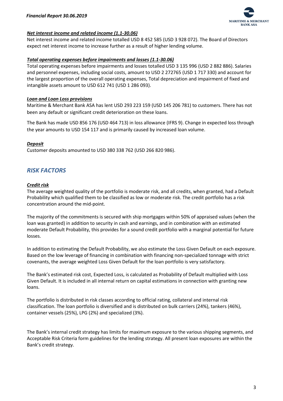

#### *Net interest income and related income (1.1-30.06)*

Net interest income and related income totalled USD 8 452 585 (USD 3 928 072). The Board of Directors expect net interest income to increase further as a result of higher lending volume.

#### *Total operating expenses before impairments and losses (1.1-30.06)*

Total operating expenses before impairments and losses totalled USD 3 135 996 (USD 2 882 886). Salaries and personnel expenses, including social costs, amount to USD 2 272765 (USD 1 717 330) and account for the largest proportion of the overall operating expenses, Total depreciation and impairment of fixed and intangible assets amount to USD 612 741 (USD 1 286 093).

#### *Loan and Loan Loss provisions*

Maritime & Merchant Bank ASA has lent USD 293 223 159 (USD 145 206 781) to customers. There has not been any default or significant credit deterioration on these loans.

The Bank has made USD 856 176 (USD 464 713) in loss allowance (IFRS 9). Change in expected loss through the year amounts to USD 154 117 and is primarily caused by increased loan volume.

#### *Deposit*

Customer deposits amounted to USD 380 338 762 (USD 266 820 986).

## *RISK FACTORS*

#### *Credit risk*

The average weighted quality of the portfolio is moderate risk, and all credits, when granted, had a Default Probability which qualified them to be classified as low or moderate risk. The credit portfolio has a risk concentration around the mid-point.

The majority of the commitments is secured with ship mortgages within 50% of appraised values (when the loan was granted) in addition to security in cash and earnings, and in combination with an estimated moderate Default Probability, this provides for a sound credit portfolio with a marginal potential for future losses.

In addition to estimating the Default Probability, we also estimate the Loss Given Default on each exposure. Based on the low leverage of financing in combination with financing non-specialized tonnage with strict covenants, the average weighted Loss Given Default for the loan portfolio is very satisfactory.

The Bank's estimated risk cost, Expected Loss, is calculated as Probability of Default multiplied with Loss Given Default. It is included in all internal return on capital estimations in connection with granting new loans.

The portfolio is distributed in risk classes according to official rating, collateral and internal risk classification. The loan portfolio is diversified and is distributed on bulk carriers (24%), tankers (46%), container vessels (25%), LPG (2%) and specialized (3%).

The Bank's internal credit strategy has limits for maximum exposure to the various shipping segments, and Acceptable Risk Criteria form guidelines for the lending strategy. All present loan exposures are within the Bank's credit strategy.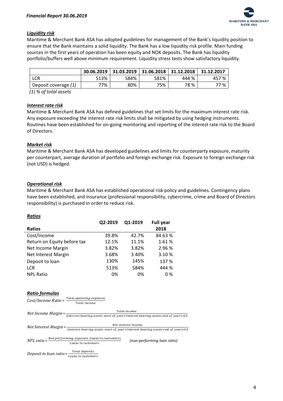

#### *Liquidity risk*

Maritime & Merchant Bank ASA has adopted guidelines for management of the Bank's liquidity position to ensure that the Bank maintains a solid liquidity. The Bank has a low liquidity risk profile. Main funding sources in the first years of operation has been equity and NOK deposits. The Bank has liquidity portfolio/buffers well above minimum requirement. Liquidity stress tests show satisfactory liquidity.

|                      | 30.06.2019 | 31.03.2019 | 31.06.2018 | 31.12.2018 | 31.12.2017 |
|----------------------|------------|------------|------------|------------|------------|
| LCR                  | 513%       | 584%       | 581%       | 444 %      | 457 %      |
| Deposit coverage (1) | 77%        | 80%        | 75%        | 78 %       | 77 %       |

 *(1) % of total assets*

#### *Interest rate risk*

Maritime & Merchant Bank ASA has defined guidelines that set limits for the maximum interest rate risk. Any exposure exceeding the interest rate risk limits shall be mitigated by using hedging instruments. Routines have been established for on-going monitoring and reporting of the interest rate risk to the Board of Directors.

#### *Market risk*

Maritime & Merchant Bank ASA has developed guidelines and limits for counterparty exposure, maturity per counterpart, average duration of portfolio and foreign exchange risk. Exposure to foreign exchange risk (not USD) is hedged.

#### *Operational risk*

*Ratios*

Maritime & Merchant Bank ASA has established operational risk policy and guidelines. Contingency plans have been established, and insurance (professional responsibility, cybercrime, crime and Board of Directors responsibility) is purchased in order to reduce risk.

| ,,,,,,,,                    | Q2-2019 | Q1-2019 | <b>Full year</b> |
|-----------------------------|---------|---------|------------------|
| <b>Ratios</b>               |         |         | 2018             |
| Cost/Income                 | 39.8%   | 42.7%   | 84.63%           |
| Return on Equity before tax | 12.1%   | 11.1%   | 1.61%            |
| Net Income Margin           | 3.82%   | 3.82%   | 2.96 %           |
| Net Interest Margin         | 3.68%   | 3.40%   | 3.10%            |
| Deposit to loan             | 130%    | 145%    | 137 %            |
| <b>LCR</b>                  | 513%    | 584%    | 444 %            |
| <b>NPL Ratio</b>            | 0%      | 0%      | 0 %              |

#### *Ratio formulas*

|                                                          | Cost/Income Ratio = Total operating expences<br>Total income                   |                                                                                                                                                                             |
|----------------------------------------------------------|--------------------------------------------------------------------------------|-----------------------------------------------------------------------------------------------------------------------------------------------------------------------------|
|                                                          |                                                                                | Total income<br><i>Net Income Margin</i> = $\frac{1}{(Interest \, bearing \, assets \, start \, of \, year + Interest \, bearing \, assets \, end \, of \, year)*0.5}$      |
|                                                          |                                                                                | Net interest income<br><i>Net Interest Margin</i> = $\frac{N_{\text{eff}}}{(Interest \text{ bearing assets start of year+Interest \text{ bearing assets end of year})*0.5}$ |
|                                                          | NPL ratio = Non performing exposure (loans to customers)<br>Loans to customers | (non-performing loan ratio)                                                                                                                                                 |
| Deposit to loan ratio = $\frac{Total\text{ depends}}{1}$ | Loans to customers                                                             |                                                                                                                                                                             |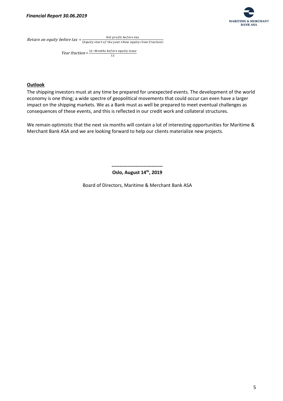

Return on equity before tax  $=\frac{Net\ profit\ before\ tax}{(Eouity\ start\ of\ the\ year\ New\ exit})}$ (Equity start of the year+New equity\*Yearfraction)

> *Year fraction* =  $\frac{12 - \text{Monthly before equity issue}}{12}$ 12

#### **Outlook**

The shipping investors must at any time be prepared for unexpected events. The development of the world economy is one thing; a wide spectre of geopolitical movements that could occur can even have a larger impact on the shipping markets. We as a Bank must as well be prepared to meet eventual challenges as consequences of these events, and this is reflected in our credit work and collateral structures.

We remain optimistic that the next six months will contain a lot of interesting opportunities for Maritime & Merchant Bank ASA and we are looking forward to help our clients materialize new projects.

**--------------------------------**

#### **Oslo, August 14 th, 2019**

Board of Directors, Maritime & Merchant Bank ASA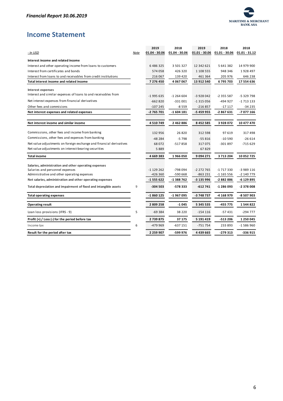

# <span id="page-6-0"></span>**Income Statement**

|                                                                     |      | 2019            | 2018            | 2019            | 2018            | 2018            |
|---------------------------------------------------------------------|------|-----------------|-----------------|-----------------|-----------------|-----------------|
| - In USD                                                            | Note | $01.04 - 30.06$ | $01.04 - 30.06$ | $01.01 - 30.06$ | $01.01 - 30.06$ | $01.01 - 31.12$ |
| Interest income and related income                                  |      |                 |                 |                 |                 |                 |
| Interest and other operating income from loans to customers         |      | 6486325         | 3 501 327       | 12 342 621      | 5 641 382       | 14 979 900      |
| Interest from certificates and bonds                                |      | 574 058         | 426 320         | 1 108 555       | 948 346         | 1928 497        |
| Interest from loans to and receivables from credit institutions     |      | 216 067         | 139 420         | 461 364         | 205 976         | 646 238         |
| Total interest income and related income                            |      | 7 276 450       | 4 067 067       | 13 912 540      | 6795703         | 17 554 636      |
| <b>Interest expenses</b>                                            |      |                 |                 |                 |                 |                 |
| Interest and similar expenses of loans to and receivables from      |      | $-1995635$      | $-1264604$      | $-3928042$      | $-2355587$      | -5 329 798      |
| Net interest expenses from financial derivatives                    |      | $-662820$       | $-331001$       | $-1315056$      | -494 927        | $-1713133$      |
| Other fees and commisions                                           |      | $-107245$       | $-8559$         | $-216857$       | $-17117$        | $-34235$        |
| Net interest expenses and related expenses                          |      | -2 765 701      | $-1604181$      | -5 459 955      | -2867631        | -7 077 166      |
| Net interest income and similar income                              |      | 4510749         | 2 462 886       | 8 4 5 2 5 8 5   | 3928072         | 10 477 470      |
|                                                                     |      |                 |                 |                 |                 |                 |
| Commissions, other fees and income from banking                     |      | 132 956         | 26820           | 312 598         | 97 619          | 317498          |
| Commissions, other fees and expenses from banking                   |      | -48 284         | $-5798$         | $-55816$        | $-10590$        | $-26614$        |
| Net value adjustments on foreign exchange and financial derivatives |      | 68 072          | $-517858$       | 317075          | -301 897        | $-715629$       |
| Net value adjustments on interest-bearing securities                |      | 5889            |                 | 67829           |                 |                 |
| <b>Total income</b>                                                 |      | 4669383         | 1966050         | 9 094 271       | 3713204         | 10 052 725      |
| Salaries, administration and other operating expenses               |      |                 |                 |                 |                 |                 |
| Salaries and personnel expenses                                     |      | $-1129262$      | -798 094        | $-2272765$      | -1717330        | -3 989 116      |
| Administrative and other operating expenses                         |      | -426 360        | -590 668        | -863 231        | $-1$ 165 556    | -2 140 779      |
| Net salaries, administration and other operating expenses           |      | $-1555622$      | -1 388 762      | -3 135 996      | -2882886        | -6 129 895      |
| Total depreciation and impairment of fixed and intangible assets    | 9    | $-304503$       | -578 333        | $-612741$       | -1 286 093      | -2 378 008      |
| <b>Total operating expenses</b>                                     |      | -1 860 125      | -1 967 095      | -3 748 737      | -4 168 979      | -8 507 903      |
| <b>Operating result</b>                                             |      | 2809258         | $-1045$         | 5 345 535       | -455 775        | 1544822         |
| Loan loss provisions (IFRS - 9)                                     | 5    | $-69384$        | 38 2 2 0        | $-154116$       | $-57431$        | $-294777$       |
| Profit $(+)$ / Loss $(-)$ for the period before tax                 |      | 2739875         | 37 175          | 5 191 419       | -513 206        | 1 250 045       |
| Income tax                                                          | 6    | -479 969        | $-637151$       | $-751754$       | 233 893         | $-1586960$      |
| Result for the period after tax                                     |      | 2 2 5 9 9 0 7   | -599 976        | 4 439 665       | -279 313        | -336 915        |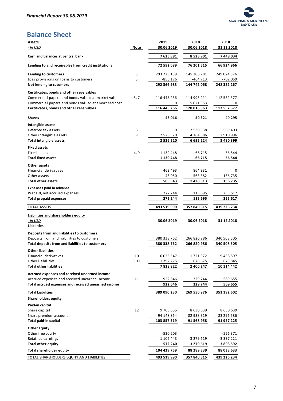

# **Balance Sheet**

| <b>Assets</b>                                        |      | 2019          | 2018          | 2018        |
|------------------------------------------------------|------|---------------|---------------|-------------|
| <u>- In USD</u>                                      | Note | 30.06.2019    | 30.06.2018    | 31.12.2018  |
| Cash and balances at central bank                    |      | 7625881       | 8 523 901     | 7448034     |
| Lending to and receivables from credit institutions  |      | 72 592 089    | 76 201 515    | 66 924 966  |
| Lending to customers                                 | 5    | 293 223 159   | 145 206 781   | 249 024 326 |
| Loss provisions on loans to customers                | 5    | -856 176      | -464 713      | -702 059    |
| Net lending to cutomers                              |      | 292 366 983   | 144 742 068   | 248 322 267 |
| Certificates, bonds and other receivables            |      |               |               |             |
| Commercial papers and bonds valued at market value   | 5, 7 | 116 445 266   | 114 995 211   | 112 552 377 |
| Commercial papers and bonds valued at amortised cost |      | 0             | 5 0 2 1 3 5 3 | 0           |
| Certificates, bonds and other receivables            |      | 116 445 266   | 120 016 563   | 112 552 377 |
| <b>Shares</b>                                        |      | 46 016        | 50 321        | 49 295      |
| Intangible assets                                    |      |               |               |             |
| Deferred tax assets                                  | 6    | 0             | 2 530 338     | 569 403     |
| Other intangible assets                              | 9    | 2 5 2 6 5 2 0 | 4 164 886     | 2 910 996   |
| <b>Total intangible assets</b>                       |      | 2 526 520     | 6 695 224     | 3 480 399   |
| <b>Fixed assets</b>                                  |      |               |               |             |
| Fixed assets                                         | 4, 9 | 1 139 448     | 66 715        | 56 544      |
| <b>Total fixed assets</b>                            |      | 1 139 448     | 66 715        | 56 544      |
| Other assets                                         |      |               |               |             |
| Financial derivatives                                |      | 462 493       | 864931        | 0           |
| Other assets                                         |      | 43 050        | 563 382       | 136 735     |
| <b>Total other assets</b>                            |      | 505 543       | 1 428 313     | 136 735     |
| <b>Expenses paid in advance</b>                      |      |               |               |             |
| Prepaid, not accrued expenses                        |      | 272 244       | 115 695       | 255 617     |
| <b>Total prepaid expenses</b>                        |      | 272 244       | 115 695       | 255 617     |
| <b>TOTAL ASSETS</b>                                  |      | 493 519 990   | 357 840 315   | 439 226 234 |
| Liabilities and shareholders equity                  |      |               |               |             |
| - In USD                                             |      | 30.06.2019    | 30.06.2018    | 31.12.2018  |
| <b>Liabilities</b>                                   |      |               |               |             |
| Deposits from and liabilities to customers           |      |               |               |             |
| Deposits from and liabilities to customers           |      | 380 338 762   | 266 820 986   | 340 508 505 |
| Total deposits from and liabilities to customers     |      | 380 338 762   | 266 820 986   | 340 508 505 |
| <b>Other liabilities</b><br>Financial derivatives    | 10   | 6 0 3 6 5 4 7 | 1721572       | 9 438 597   |
| Other liabilities                                    | 6,11 | 1792275       | 678 675       | 675 845     |
| <b>Total other liabilities</b>                       |      | 7 828 822     | 2 400 247     | 10 114 442  |
| Accrued expenses and received unearned income        |      |               |               |             |
| Accrued expenses and received unearned income        | 11   | 922 646       | 329 744       | 569 655     |
| Total accrued expenses and received unearned income  |      | 922 646       | 329 744       | 569 655     |
| <b>Total Liabilities</b>                             |      | 389 090 230   | 269 550 976   | 351 192 602 |
| <b>Shareholders equity</b>                           |      |               |               |             |
| Paid-in capital                                      |      |               |               |             |
| Share capital                                        | 12   | 9708655       | 8 630 639     | 8630639     |
| Share premium account                                |      | 94 148 864    | 82 938 319    | 83 296 586  |
| Total paid-in capital                                |      | 103 857 519   | 91 568 958    | 91 927 225  |
| <b>Other Equity</b>                                  |      |               |               |             |
| Other free equity                                    |      | -530 203      |               | -556 371    |
| Retained earnings                                    |      | 1 102 443     | -3 279 619    | -3 337 221  |
| <b>Total other equity</b>                            |      | 572 240       | -3 279 619    | -3 893 592  |
| <b>Total shareholder equity</b>                      |      | 104 429 759   | 88 289 339    | 88 033 633  |
| TOTAL SHAREHOLDERS EQUITY AND LIABILITIES            |      | 493 519 990   | 357 840 315   | 439 226 234 |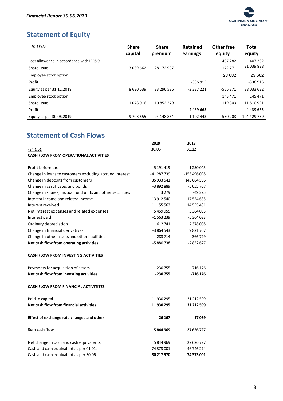

# <span id="page-8-0"></span>**Statement of Equity**

| - In USD                                 | <b>Share</b><br>capital | <b>Share</b><br>premium | <b>Retained</b><br>earnings | Other free<br>equity | <b>Total</b><br>equity |
|------------------------------------------|-------------------------|-------------------------|-----------------------------|----------------------|------------------------|
| Loss allowance in accordance with IFRS 9 |                         |                         |                             | -407 282             | $-407282$              |
| Share issue                              | 3 039 662               | 28 172 937              |                             | $-172771$            | 31 039 828             |
| Employee stock option                    |                         |                         |                             | 23 682               | 23 682                 |
| Profit                                   |                         |                         | -336 915                    |                      | -336 915               |
| Equity as per 31.12.2018                 | 8 630 639               | 83 296 586              | -3 337 221                  | -556371              | 88 033 632             |
| Employee stock option                    |                         |                         |                             | 145 471              | 145 471                |
| Share issue                              | 1078016                 | 10 852 279              |                             | $-119303$            | 11 810 991             |
| Profit                                   |                         |                         | 4 4 3 6 6 6 5               |                      | 4 4 3 6 6 6 5          |
| Equity as per 30.06.2019                 | 9 708 655               | 94 148 864              | 1 102 443                   | -530 203             | 104 429 759            |

# <span id="page-8-1"></span>**Statement of Cash Flows**

|                                                          | 2019        | 2018          |
|----------------------------------------------------------|-------------|---------------|
| - In USD                                                 | 30.06       | 31.12         |
| <b>CASH FLOW FROM OPERATIONAL ACTIVITIES</b>             |             |               |
| Profit before tax                                        | 5 191 419   | 1 250 045     |
|                                                          | -41 287 739 | $-153496098$  |
| Change in loans to customers excluding accrued interest  |             |               |
| Change in deposits from customers                        | 35 933 541  | 145 664 596   |
| Change in certificates and bonds                         | -3892889    | $-5055707$    |
| Change in shares, mutual fund units and other securities | 3 2 7 9     | -49 295       |
| Interest income and related income                       | $-13912540$ | $-17554635$   |
| Interest received                                        | 11 155 563  | 14 555 481    |
| Net interest expenses and related expenses               | 5459955     | 5 3 6 4 0 3 3 |
| Interest paid                                            | $-1563239$  | $-5364033$    |
| Ordinary depreciation                                    | 612741      | 2 378 008     |
| Change in financial derivatives                          | -3 864 543  | 9821707       |
| Change in other assets and other liabilities             | 283 714     | $-366729$     |
| Net cash flow from operating activities                  | -5880738    | $-2852627$    |
| <b>CASH FLOW FROM INVESTING ACTIVITIES</b>               |             |               |
| Payments for acquisition of assets                       | -230 755    | -716 176      |
| Net cash flow from investing activities                  | $-230755$   | $-716176$     |
| <b>CASH FLOW FROM FINANCIAL ACTIVITITES</b>              |             |               |
| Paid in capital                                          | 11 930 295  | 31 212 599    |
| Net cash flow from financial activities                  | 11 930 295  | 31 212 599    |
| Effect of exchange rate changes and other                | 26 167      | -17069        |
| Sum cash flow                                            | 5844969     | 27 626 727    |
| Net change in cash and cash equivalents                  | 5844969     | 27 626 727    |
| Cash and cash equivalent as per 01.01.                   | 74 373 001  | 46 746 274    |
| Cash and cash equivalent as per 30.06.                   | 80 217 970  | 74 373 001    |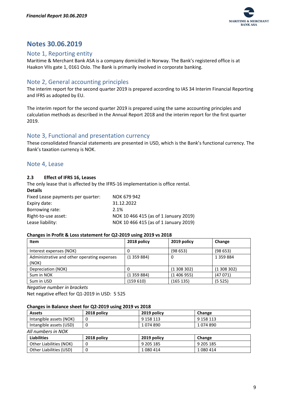

# <span id="page-9-0"></span>**Notes 30.06.2019**

## <span id="page-9-1"></span>Note 1, Reporting entity

Maritime & Merchant Bank ASA is a company domiciled in Norway. The Bank's registered office is at Haakon VIIs gate 1, 0161 Oslo. The Bank is primarily involved in corporate banking.

# <span id="page-9-2"></span>Note 2, General accounting principles

The interim report for the second quarter 2019 is prepared according to IAS 34 Interim Financial Reporting and IFRS as adopted by EU.

The interim report for the second quarter 2019 is prepared using the same accounting principles and calculation methods as described in the Annual Report 2018 and the interim report for the first quarter 2019.

## <span id="page-9-3"></span>Note 3, Functional and presentation currency

These consolidated financial statements are presented in USD, which is the Bank's functional currency. The Bank's taxation currency is NOK.

## <span id="page-9-4"></span>Note 4, Lease

**Details**

#### **2.3 Effect of IFRS 16, Leases**

The only lease that is affected by the IFRS-16 implementation is office rental.

| <b>Details</b>                    |                                       |
|-----------------------------------|---------------------------------------|
| Fixed Lease payments per quarter: | NOK 679 942                           |
| Expiry date:                      | 31.12.2022                            |
| Borrowing rate:                   | 2.1%                                  |
| Right-to-use asset:               | NOK 10 466 415 (as of 1 January 2019) |
| Lease liability:                  | NOK 10 466 415 (as of 1 January 2019) |
|                                   |                                       |

#### **Changes in Profit & Loss statement for Q2-2019 using 2019 vs 2018**

| Item                                                 | 2018 policy | 2019 policy | Change        |
|------------------------------------------------------|-------------|-------------|---------------|
| Interest expenses (NOK)                              |             | (98653)     | (98653)       |
| Administrative and other operating expenses<br>(NOK) | (1359884)   | 0           | 1 3 5 9 8 8 4 |
| Depreciation (NOK)                                   |             | (1308302)   | (1308302)     |
| Sum in NOK                                           | (1359884)   | (1406955)   | (47071)       |
| Sum in USD                                           | (159610)    | (165 135)   | (5525)        |

*Negative number in brackets*

Net negative effect for Q1-2019 in USD: 5 525

#### **Changes in Balance sheet for Q2-2019 using 2019 vs 2018**

| <b>Assets</b>           | 2018 policy | 2019 policy | Change    |  |  |  |
|-------------------------|-------------|-------------|-----------|--|--|--|
| Intangible assets (NOK) |             | 9 158 113   | 9 158 113 |  |  |  |
| Intangible assets (USD) |             | 1074890     | 1074890   |  |  |  |
| All numbers in NOK      |             |             |           |  |  |  |
| <b>Lighilities</b>      | 2018 nolicy | 2019 noticy | Change    |  |  |  |

| <b>Liabilities</b>      | 2018 policy | 2019 policy | Change    |
|-------------------------|-------------|-------------|-----------|
| Other Liabilities (NOK) |             | 9 205 185   | 9 205 185 |
| Other Liabilities (USD) |             | 1080414     | 1 080 414 |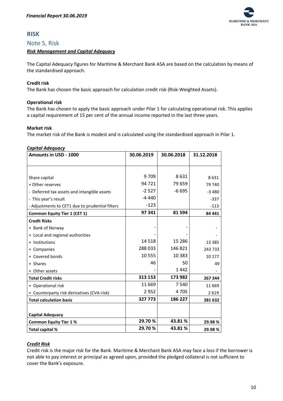

# <span id="page-10-0"></span>**RISK**

#### <span id="page-10-1"></span>Note 5, Risk

#### <span id="page-10-2"></span>*Risk Management and Capital Adequacy*

The Capital Adequacy figures for Maritime & Merchant Bank ASA are based on the calculation by means of the standardised approach.

#### **Credit risk**

The Bank has chosen the basic approach for calculation credit risk (Risk-Weighted Assets).

#### **Operational risk**

The Bank has chosen to apply the basic approach under Pilar 1 for calculating operational risk. This applies a capital requirement of 15 per cent of the annual income reported in the last three years.

#### **Market risk**

The market risk of the Bank is modest and is calculated using the standardised approach in Pilar 1.

#### <span id="page-10-3"></span>*Capital Adequacy*

| Amounts in USD - 1000                           | 30.06.2019 | 30.06.2018 | 31.12.2018 |
|-------------------------------------------------|------------|------------|------------|
|                                                 |            |            |            |
|                                                 |            |            |            |
| Share capital                                   | 9709       | 8631       | 8631       |
| + Other reserves                                | 94 721     | 79 659     | 79 740     |
| - Deferred tax assets and intangible assets     | $-2527$    | $-6695$    | $-3480$    |
| - This year's result                            | $-4440$    |            | $-337$     |
| - Adjustments to CET1 due to prudential filters | $-123$     |            | $-113$     |
| <b>Common Equity Tier 1 (CET 1)</b>             | 97 341     | 81 594     | 84 441     |
| <b>Credit Risks</b>                             |            |            |            |
| + Bank of Norway                                |            |            |            |
| + Local and regional authorities                |            |            |            |
| + Institutions                                  | 14 5 18    | 15 286     | 13 3 8 5   |
| + Companies                                     | 288033     | 146 821    | 243 733    |
| + Covered bonds                                 | 10 555     | 10 3 8 3   | 10 177     |
| + Shares                                        | 46         | 50         | 49         |
| + Other assets                                  |            | 1442       |            |
| <b>Total Credit risks</b>                       | 313 153    | 173 982    | 267 344    |
| + Operational risk                              | 11 669     | 7 5 4 0    | 11 669     |
| + Counterparty risk derivatives (CVA-risk)      | 2952       | 4705       | 2619       |
| <b>Total calculation basis</b>                  | 327 773    | 186 227    | 281 632    |
|                                                 |            |            |            |
| <b>Capital Adequacy</b>                         |            |            |            |
| <b>Common Equity Tier 1%</b>                    | 29.70%     | 43.81%     | 29.98%     |
| Total capital %                                 | 29.70%     | 43.81%     | 29.98%     |

#### <span id="page-10-4"></span>*Credit Risk*

Credit risk is the major risk for the Bank. Maritime & Merchant Bank ASA may face a loss if the borrower is not able to pay interest or principal as agreed upon, provided the pledged collateral is not sufficient to cover the Bank's exposure.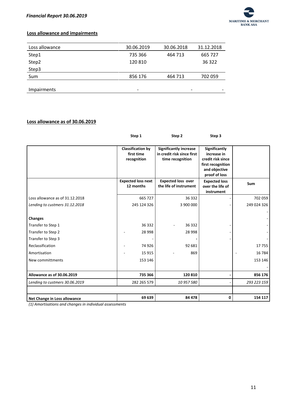

#### **Loss allowance and impairments**

| Loss allowance     | 30.06.2019               | 30.06.2018 | 31.12.2018 |
|--------------------|--------------------------|------------|------------|
| Step1              | 735 366                  | 464 713    | 665 727    |
| Step2              | 120 810                  |            | 36 322     |
| Step3              |                          |            |            |
| Sum                | 856 176                  | 464 713    | 702 059    |
|                    |                          |            |            |
| <b>Impairments</b> | $\overline{\phantom{0}}$ | ۰          | -          |

#### **Loss allowance as of 30.06.2019**

|                                                            | Step 1                                                | Step 2                                                                          | Step 3                                                                                                          |             |
|------------------------------------------------------------|-------------------------------------------------------|---------------------------------------------------------------------------------|-----------------------------------------------------------------------------------------------------------------|-------------|
|                                                            | <b>Classification by</b><br>first time<br>recognition | <b>Significantly increase</b><br>in credit risk since first<br>time recognition | <b>Significantly</b><br>increase in<br>credit risk since<br>first recognition<br>and objective<br>proof of loss |             |
|                                                            | <b>Expected loss next</b><br>12 months                | <b>Expected loss over</b><br>the life of instrument                             | <b>Expected loss</b><br>over the life of<br>instrument                                                          | Sum         |
| Loss allowance as of 31.12.2018                            | 665 727                                               | 36 332                                                                          |                                                                                                                 | 702 059     |
| Lending to custmers 31.12.2018                             | 245 124 326                                           | 3 900 000                                                                       |                                                                                                                 | 249 024 326 |
| <b>Changes</b><br>Transfer to Step 1<br>Transfer to Step 2 | 36 332<br>28 9 98                                     | 36 332<br>28 9 98                                                               |                                                                                                                 |             |
| Transfer to Step 3                                         |                                                       |                                                                                 |                                                                                                                 |             |
| Reclassification                                           | 74 926                                                | 92 681                                                                          |                                                                                                                 | 17755       |
| Amortisation                                               | 15 9 15                                               | 869                                                                             |                                                                                                                 | 16784       |
| New committments                                           | 153 146                                               |                                                                                 |                                                                                                                 | 153 146     |
| Allowance as of 30.06.2019                                 | 735 366                                               | 120 810                                                                         |                                                                                                                 | 856 176     |
| Lending to custmers 30.06.2019                             | 282 265 579                                           | 10 957 580                                                                      |                                                                                                                 | 293 223 159 |
| Net Change in Loss allowance                               | 69 639                                                | 84 478                                                                          | 0                                                                                                               | 154 117     |

*(1) Amortisations and changes in individual assessments*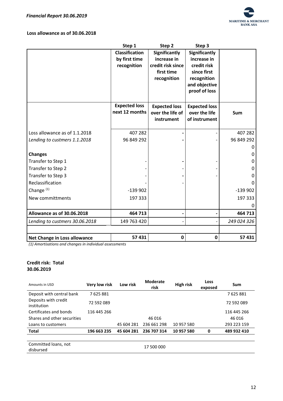

#### **Loss allowance as of 30.06.2018**

|                                | Step 1                | Step <sub>2</sub>    | Step 3                     |             |
|--------------------------------|-----------------------|----------------------|----------------------------|-------------|
|                                | <b>Classification</b> | <b>Significantly</b> | <b>Significantly</b>       |             |
|                                | by first time         | increase in          | increase in                |             |
|                                | recognition           | credit risk since    | credit risk                |             |
|                                |                       | first time           | since first<br>recognition |             |
|                                |                       | recognition          | and objective              |             |
|                                |                       |                      | proof of loss              |             |
|                                |                       |                      |                            |             |
|                                | <b>Expected loss</b>  | <b>Expected loss</b> | <b>Expected loss</b>       |             |
|                                | next 12 months        | over the life of     | over the life              | <b>Sum</b>  |
|                                |                       | instrument           | of instrument              |             |
|                                |                       |                      |                            |             |
| Loss allowance as of 1.1.2018  | 407 282               |                      |                            | 407 282     |
| Lending to custmers 1.1.2018   | 96 849 292            |                      |                            | 96 849 292  |
|                                |                       |                      |                            |             |
| <b>Changes</b>                 |                       |                      |                            | O           |
| Transfer to Step 1             |                       |                      |                            | O           |
| Transfer to Step 2             |                       |                      |                            | O           |
| Transfer to Step 3             |                       |                      |                            | O           |
| Reclassification               |                       |                      |                            | O           |
| Change <sup>(1)</sup>          | $-139902$             |                      |                            | $-139902$   |
| New committments               | 197 333               |                      |                            | 197 333     |
|                                |                       |                      |                            |             |
| Allowance as of 30.06.2018     | 464 713               |                      |                            | 464 713     |
| Lending to custmers 30.06.2018 | 149 763 420           |                      |                            | 249 024 326 |
|                                |                       |                      |                            |             |
| Net Change in Loss allowance   | 57 431                | $\mathbf 0$          | $\mathbf 0$                | 57 431      |

*(1) Amortisations and changes in individual assessments*

#### **Credit risk: Total 30.06.2019**

| Amounts in USD                      | Very low risk | Low risk   | <b>Moderate</b><br>risk | High risk  | Loss<br>exposed | Sum         |
|-------------------------------------|---------------|------------|-------------------------|------------|-----------------|-------------|
| Deposit with central bank           | 7625881       |            |                         |            |                 | 7625881     |
| Deposits with credit<br>institution | 72 592 089    |            |                         |            |                 | 72 592 089  |
| Certificates and bonds              | 116 445 266   |            |                         |            |                 | 116 445 266 |
| Shares and other securities         |               |            | 46 016                  |            |                 | 46 016      |
| Loans to customers                  |               | 45 604 281 | 236 661 298             | 10 957 580 |                 | 293 223 159 |
| <b>Total</b>                        | 196 663 235   | 45 604 281 | 236 707 314             | 10 957 580 | 0               | 489 932 410 |
|                                     |               |            |                         |            |                 |             |
| Committed loans, not<br>disbursed   |               |            | 17 500 000              |            |                 |             |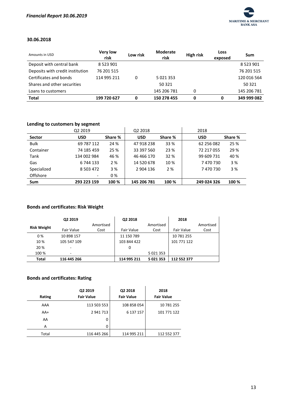

#### **30.06.2018**

| Amounts in USD                   | <b>Very low</b><br>risk | Low risk | <b>Moderate</b><br>risk | <b>High risk</b> | Loss<br>exposed | Sum           |
|----------------------------------|-------------------------|----------|-------------------------|------------------|-----------------|---------------|
| Deposit with central bank        | 8 5 2 3 9 0 1           |          |                         |                  |                 | 8 5 2 3 9 0 1 |
| Deposits with credit institution | 76 201 515              |          |                         |                  |                 | 76 201 515    |
| Certificates and bonds           | 114 995 211             | 0        | 5 0 2 1 3 5 3           |                  |                 | 120 016 564   |
| Shares and other securities      |                         |          | 50 321                  |                  |                 | 50 321        |
| Loans to customers               |                         |          | 145 206 781             | 0                |                 | 145 206 781   |
| <b>Total</b>                     | 199 720 627             | 0        | 150 278 455             | 0                | 0               | 349 999 082   |

## **Lending to customers by segment**

|               | Q2 2019                  |         | Q <sub>2</sub> 2018 |         | 2018        |         |
|---------------|--------------------------|---------|---------------------|---------|-------------|---------|
| <b>Sector</b> | <b>USD</b>               | Share % | <b>USD</b>          | Share % | <b>USD</b>  | Share % |
| <b>Bulk</b>   | 69 787 112               | 24 %    | 47 918 238          | 33 %    | 62 256 082  | 25 %    |
| Container     | 74 185 459               | 25 %    | 33 397 560          | 23 %    | 72 217 055  | 29 %    |
| Tank          | 134 002 984              | 46 %    | 46 466 170          | 32 %    | 99 609 731  | 40 %    |
| Gas           | 6 744 133                | 2 %     | 14 520 678          | 10 %    | 7470730     | 3 %     |
| Specialized   | 8 5 0 3 4 7 2            | 3 %     | 2 904 136           | 2 %     | 7470730     | 3 %     |
| Offshore      | $\overline{\phantom{a}}$ | 0%      |                     |         |             |         |
| <b>Sum</b>    | 293 223 159              | 100 %   | 145 206 781         | 100 %   | 249 024 326 | 100 %   |

# **Bonds and certificates: Risk Weight**

|                    | Q2 2019                  |           | Q2 2018     |           | 2018        |           |
|--------------------|--------------------------|-----------|-------------|-----------|-------------|-----------|
| <b>Risk Weight</b> |                          | Amortised |             | Amortised |             | Amortised |
|                    | Fair Value               | Cost      | Fair Value  | Cost      | Fair Value  | Cost      |
| 0%                 | 10 898 157               |           | 11 150 789  |           | 10 781 255  |           |
| 10%                | 105 547 109              |           | 103 844 422 |           | 101 771 122 |           |
| 20 %               |                          |           | 0           |           |             |           |
| 100 %              | $\overline{\phantom{0}}$ |           |             | 5 021 353 |             |           |
| Total              | 116 445 266              |           | 114 995 211 | 5 021 353 | 112 552 377 |           |

## **Bonds and certificates: Rating**

| Rating | Q2 2019<br><b>Fair Value</b> | Q2 2018<br><b>Fair Value</b> | 2018<br><b>Fair Value</b> |
|--------|------------------------------|------------------------------|---------------------------|
| AAA    | 113 503 553                  | 108 858 054                  | 10 781 255                |
| $AA+$  | 2941713                      | 6 137 157                    | 101 771 122               |
| AA     | 0                            |                              |                           |
| A      | 0                            |                              |                           |
| Total  | 116 445 266                  | 114 995 211                  | 112 552 377               |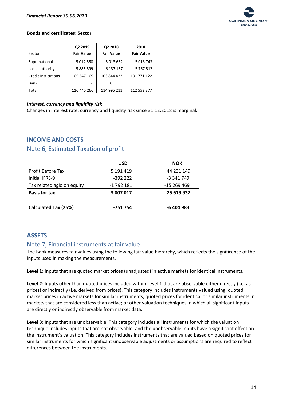

#### **Bonds and certificates: Sector**

|                            | Q2 2019           | Q2 2018           | 2018              |
|----------------------------|-------------------|-------------------|-------------------|
| Sector                     | <b>Fair Value</b> | <b>Fair Value</b> | <b>Fair Value</b> |
| Supranationals             | 5 012 558         | 5 013 632         | 5 013 743         |
| Local authority            | 5885599           | 6 137 157         | 5 767 512         |
| <b>Credit Institutions</b> | 105 547 109       | 103 844 422       | 101 771 122       |
| Bank                       |                   | 0                 |                   |
| Total                      | 116 445 266       | 114 995 211       | 112 552 377       |

#### <span id="page-14-0"></span>*Interest, currency and liquidity risk*

Changes in interest rate, currency and liquidity risk since 31.12.2018 is marginal.

## <span id="page-14-1"></span>**INCOME AND COSTS**

## <span id="page-14-2"></span>Note 6, Estimated Taxation of profit

|                             | <b>USD</b> | <b>NOK</b>  |
|-----------------------------|------------|-------------|
| <b>Profit Before Tax</b>    | 5 191 4 19 | 44 231 149  |
| Initial IFRS-9              | $-39222$   | -3 341 749  |
| Tax related agio on equity  | -1 792 181 | $-15269469$ |
| <b>Basis for tax</b>        | 3 007 017  | 25 619 932  |
| <b>Calculated Tax (25%)</b> | -751 754   | -6 404 983  |

## <span id="page-14-3"></span>**ASSETS**

## <span id="page-14-4"></span>Note 7, Financial instruments at fair value

The Bank measures fair values using the following fair value hierarchy, which reflects the significance of the inputs used in making the measurements.

**Level 1:** Inputs that are quoted market prices (unadjusted) in active markets for identical instruments.

**Level 2**: Inputs other than quoted prices included within Level 1 that are observable either directly (i.e. as prices) or indirectly (i.e. derived from prices). This category includes instruments valued using: quoted market prices in active markets for similar instruments; quoted prices for identical or similar instruments in markets that are considered less than active; or other valuation techniques in which all significant inputs are directly or indirectly observable from market data.

**Level 3:** Inputs that are unobservable. This category includes all instruments for which the valuation technique includes inputs that are not observable, and the unobservable inputs have a significant effect on the instrument's valuation. This category includes instruments that are valued based on quoted prices for similar instruments for which significant unobservable adjustments or assumptions are required to reflect differences between the instruments.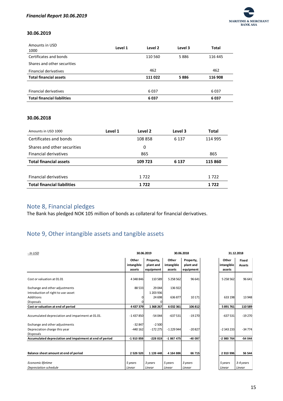

#### **30.06.2019**

| Amounts in USD<br>1000             | Level 1 | Level 2 | Level 3 | Total   |
|------------------------------------|---------|---------|---------|---------|
| Certificates and bonds             |         | 110 560 | 5886    | 116 445 |
| Shares and other securities        |         |         |         |         |
| <b>Financial derivatives</b>       |         | 462     |         | 462     |
| <b>Total financial assets</b>      |         | 111 022 | 5886    | 116 908 |
|                                    |         |         |         |         |
| <b>Financial derivatives</b>       |         | 6037    |         | 6037    |
| <b>Total financial liabilities</b> |         | 6037    |         | 6037    |

#### **30.06.2018**

| Amounts in USD 1000                | Level 1 | Level 2 | Level 3 | <b>Total</b> |
|------------------------------------|---------|---------|---------|--------------|
| Certificates and bonds             |         | 108 858 | 6 1 3 7 | 114 995      |
| Shares and other securities        |         | 0       |         |              |
| <b>Financial derivatives</b>       |         | 865     |         | 865          |
| <b>Total financial assets</b>      |         | 109 723 | 6 1 3 7 | 115 860      |
|                                    |         |         |         |              |
| <b>Financial derivatives</b>       |         | 1722    |         | 1722         |
| <b>Total financial liabilities</b> |         | 1722    |         | 1722         |

# <span id="page-15-0"></span>Note 8, Financial pledges

The Bank has pledged NOK 105 million of bonds as collateral for financial derivatives.

# <span id="page-15-1"></span>Note 9, Other intangible assets and tangible assets

| - In USD                                                 | 30.06.2019                    |                                     | 30.06.2018                    |                                     | 31.12.2018 |                               |                               |
|----------------------------------------------------------|-------------------------------|-------------------------------------|-------------------------------|-------------------------------------|------------|-------------------------------|-------------------------------|
|                                                          | Other<br>intangible<br>assets | Property,<br>plant and<br>equipment | Other<br>intangible<br>assets | Property,<br>plant and<br>equipment |            | Other<br>intangible<br>assets | <b>Fixed</b><br><b>Assets</b> |
| Cost or valuation at 01.01                               | 4 348 846                     | 110589                              | 5 258 562                     | 96 641                              |            | 5 258 562                     | 96 641                        |
| Exchange and other adjustments                           | 88 5 33                       | 29 044                              | 136 922                       |                                     |            |                               |                               |
| Introduction of right to use-asset                       |                               | 1 203 936                           |                               |                                     |            |                               |                               |
| Additions                                                |                               | 24 698                              | 636877                        | 10 17 1                             |            | 633 198                       | 13 948                        |
| <b>Disposals</b>                                         |                               | 0                                   |                               |                                     |            |                               |                               |
| Cost or valuation at end of period                       | 4 4 3 7 3 7 9                 | 1368267                             | 6032361                       | 106812                              |            | 5891761                       | 110 589                       |
| Accumulated depreciation and impariment at 01.01.        | $-1437850$                    | $-54044$                            | $-637531$                     | $-19270$                            |            | $-637531$                     | $-19270$                      |
| Exchange and other adjustments                           | $-32847$                      | $-2500$                             |                               |                                     |            |                               |                               |
| Depreciation charge this year                            | $-440162$                     | $-172275$                           | $-1229944$                    | $-20827$                            |            | $-2343233$                    | $-34774$                      |
| <b>Disposals</b>                                         |                               |                                     |                               |                                     |            |                               |                               |
| Accumulated depreciation and impairment at end of period | -1 910 859                    | $-228819$                           | $-1867475$                    | -40 097                             |            | -2 980 764                    | $-54044$                      |
| Balance sheet amount at end of period                    | 2 526 520                     | 1 139 448                           | 4 164 886                     | 66 715                              |            | 2 910 996                     | 56 544                        |
| Economic lifetime                                        | 5 years                       | 3 years                             | 5 years                       | 3 years                             |            | 5 years                       | 3-4 years                     |
| Depreciation schedule                                    | Linear                        | Linear                              | Linear                        | Linear                              |            | Linear                        | Linear                        |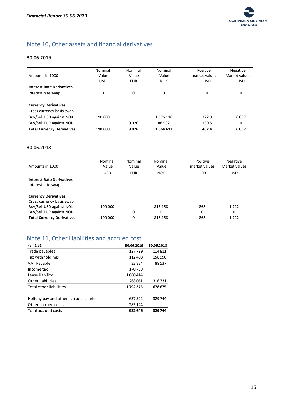

# <span id="page-16-0"></span>Note 10, Other assets and financial derivatives

#### **30.06.2019**

| Amounts in 1000                   | Nominal<br>Value | Nominal<br>Value | Nominal<br>Value | Positive<br>market values | Negative<br>Market values |
|-----------------------------------|------------------|------------------|------------------|---------------------------|---------------------------|
|                                   | <b>USD</b>       | <b>EUR</b>       | <b>NOK</b>       | <b>USD</b>                | <b>USD</b>                |
|                                   |                  |                  |                  |                           |                           |
| <b>Interest Rate Derivatives</b>  |                  |                  |                  |                           |                           |
| Interest rate swap                | 0                | 0                | 0                | 0                         | 0                         |
|                                   |                  |                  |                  |                           |                           |
| <b>Currency Derivatives</b>       |                  |                  |                  |                           |                           |
| Cross currency basis swap         |                  |                  |                  |                           |                           |
| Buy/Sell USD against NOK          | 190 000          |                  | 1576110          | 322.9                     | 6037                      |
| Buy/Sell EUR against NOK          |                  | 9026             | 88 502           | 139.5                     | 0                         |
| <b>Total Currency Derivatives</b> | 190 000          | 9026             | 1664612          | 462.4                     | 6037                      |

#### **30.06.2018**

| Amounts in 1000                                          | Nominal<br>Value | Nominal<br>Value | Nominal<br>Positive<br>Value<br>market values |            | <b>Negative</b><br>Market values |  |
|----------------------------------------------------------|------------------|------------------|-----------------------------------------------|------------|----------------------------------|--|
|                                                          | <b>USD</b>       | EUR              | <b>NOK</b>                                    | <b>USD</b> | <b>USD</b>                       |  |
| <b>Interest Rate Derivatives</b><br>Interest rate swap   |                  |                  |                                               |            |                                  |  |
| <b>Currency Derivatives</b><br>Cross currency basis swap |                  |                  |                                               |            |                                  |  |
| Buy/Sell USD against NOK                                 | 100 000          |                  | 813 158                                       | 865        | 1722                             |  |
| Buy/Sell EUR against NOK                                 |                  | 0                | 0                                             | 0          | 0                                |  |
| <b>Total Currency Derivatives</b>                        | 100 000          | 0                | 813 158                                       | 865        | 1722                             |  |

# <span id="page-16-1"></span>Note 11, Other Liabilities and accrued cost

| - In USD                               | 30.06.2019 | 30.06.2018 |
|----------------------------------------|------------|------------|
| Trade payables                         | 127 799    | 114811     |
| Tax withholdings                       | 112 408    | 158 996    |
| VAT Payable                            | 32834      | 88 537     |
| Income tax                             | 170759     |            |
| Lease liability                        | 1080414    |            |
| Other liabilities                      | 268061     | 316 331    |
| Total other liabilities                | 1792275    | 678 675    |
|                                        |            |            |
| Holiday pay and other accrued salaries | 637 522    | 329 744    |
| Other accrued costs                    | 285 124    |            |
| Total accrued costs                    | 922 646    | 329 744    |